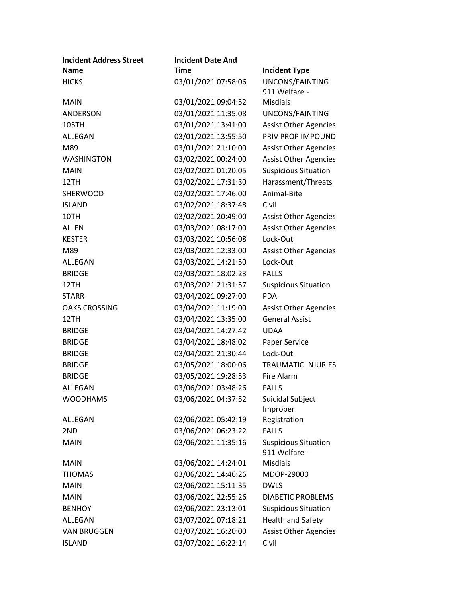| <b>Incident Address Street</b> | <b>Incident Date And</b> |                                              |
|--------------------------------|--------------------------|----------------------------------------------|
| <u>Name</u>                    | <u>Time</u>              | <b>Incident Type</b>                         |
| <b>HICKS</b>                   | 03/01/2021 07:58:06      | UNCONS/FAINTING                              |
|                                |                          | 911 Welfare -                                |
| <b>MAIN</b>                    | 03/01/2021 09:04:52      | <b>Misdials</b>                              |
| ANDERSON                       | 03/01/2021 11:35:08      | UNCONS/FAINTING                              |
| 105TH                          | 03/01/2021 13:41:00      | <b>Assist Other Agencies</b>                 |
| ALLEGAN                        | 03/01/2021 13:55:50      | PRIV PROP IMPOUND                            |
| M89                            | 03/01/2021 21:10:00      | <b>Assist Other Agencies</b>                 |
| <b>WASHINGTON</b>              | 03/02/2021 00:24:00      | <b>Assist Other Agencies</b>                 |
| <b>MAIN</b>                    | 03/02/2021 01:20:05      | <b>Suspicious Situation</b>                  |
| 12TH                           | 03/02/2021 17:31:30      | Harassment/Threats                           |
| SHERWOOD                       | 03/02/2021 17:46:00      | Animal-Bite                                  |
| <b>ISLAND</b>                  | 03/02/2021 18:37:48      | Civil                                        |
| 10TH                           | 03/02/2021 20:49:00      | <b>Assist Other Agencies</b>                 |
| <b>ALLEN</b>                   | 03/03/2021 08:17:00      | <b>Assist Other Agencies</b>                 |
| <b>KESTER</b>                  | 03/03/2021 10:56:08      | Lock-Out                                     |
| M89                            | 03/03/2021 12:33:00      | <b>Assist Other Agencies</b>                 |
| ALLEGAN                        | 03/03/2021 14:21:50      | Lock-Out                                     |
| <b>BRIDGE</b>                  | 03/03/2021 18:02:23      | <b>FALLS</b>                                 |
| 12TH                           | 03/03/2021 21:31:57      | <b>Suspicious Situation</b>                  |
| <b>STARR</b>                   | 03/04/2021 09:27:00      | <b>PDA</b>                                   |
| <b>OAKS CROSSING</b>           | 03/04/2021 11:19:00      | <b>Assist Other Agencies</b>                 |
| 12TH                           | 03/04/2021 13:35:00      | <b>General Assist</b>                        |
| <b>BRIDGE</b>                  | 03/04/2021 14:27:42      | <b>UDAA</b>                                  |
| <b>BRIDGE</b>                  | 03/04/2021 18:48:02      | Paper Service                                |
| <b>BRIDGE</b>                  | 03/04/2021 21:30:44      | Lock-Out                                     |
| <b>BRIDGE</b>                  | 03/05/2021 18:00:06      | <b>TRAUMATIC INJURIES</b>                    |
| <b>BRIDGE</b>                  | 03/05/2021 19:28:53      | Fire Alarm                                   |
| ALLEGAN                        | 03/06/2021 03:48:26      | <b>FALLS</b>                                 |
| <b>WOODHAMS</b>                | 03/06/2021 04:37:52      | Suicidal Subject                             |
|                                |                          | Improper                                     |
| ALLEGAN                        | 03/06/2021 05:42:19      | Registration                                 |
| 2ND                            | 03/06/2021 06:23:22      | <b>FALLS</b>                                 |
| <b>MAIN</b>                    | 03/06/2021 11:35:16      | <b>Suspicious Situation</b><br>911 Welfare - |
| <b>MAIN</b>                    | 03/06/2021 14:24:01      | <b>Misdials</b>                              |
| <b>THOMAS</b>                  | 03/06/2021 14:46:26      | MDOP-29000                                   |
| <b>MAIN</b>                    | 03/06/2021 15:11:35      | <b>DWLS</b>                                  |
| <b>MAIN</b>                    | 03/06/2021 22:55:26      | <b>DIABETIC PROBLEMS</b>                     |
| <b>BENHOY</b>                  | 03/06/2021 23:13:01      | <b>Suspicious Situation</b>                  |
| ALLEGAN                        | 03/07/2021 07:18:21      | <b>Health and Safety</b>                     |
| <b>VAN BRUGGEN</b>             | 03/07/2021 16:20:00      | <b>Assist Other Agencies</b>                 |
| <b>ISLAND</b>                  | 03/07/2021 16:22:14      | Civil                                        |
|                                |                          |                                              |